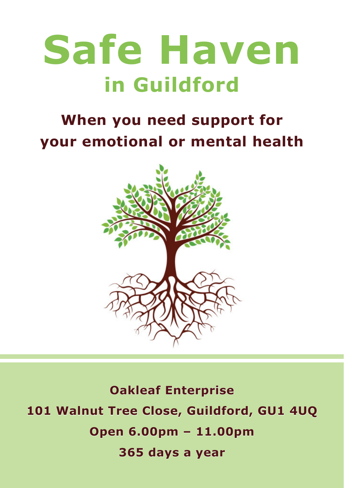# **Safe Haven in Guildford**

# **When you need support for your emotional or mental health**



**Oakleaf Enterprise 101 Walnut Tree Close, Guildford, GU1 4UQ Open 6.00pm – 11.00pm 365 days a year**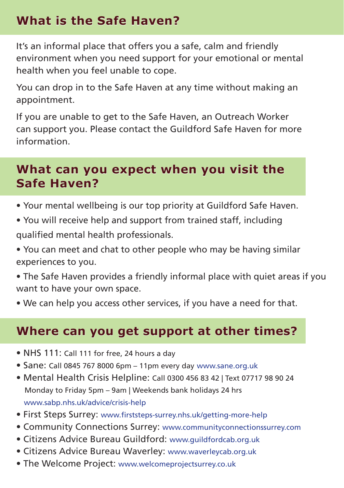# **What is the Safe Haven?**

It's an informal place that offers you a safe, calm and friendly environment when you need support for your emotional or mental health when you feel unable to cope.

You can drop in to the Safe Haven at any time without making an appointment.

If you are unable to get to the Safe Haven, an Outreach Worker can support you. Please contact the Guildford Safe Haven for more information.

#### **What can you expect when you visit the Safe Haven?**

- Your mental wellbeing is our top priority at Guildford Safe Haven.
- You will receive help and support from trained staff, including qualified mental health professionals.
- You can meet and chat to other people who may be having similar experiences to you.
- The Safe Haven provides a friendly informal place with quiet areas if you want to have your own space.
- We can help you access other services, if you have a need for that.

#### **Where can you get support at other times?**

- NHS 111: Call 111 for free, 24 hours a day
- Sane: Call 0845 767 8000 6pm 11pm every day www.sane.org.uk
- Mental Health Crisis Helpline: Call 0300 456 83 42 | Text 07717 98 90 24 Monday to Friday 5pm – 9am | Weekends bank holidays 24 hrs www.sabp.nhs.uk/advice/crisis-help
- First Steps Surrey: www.firststeps-surrey.nhs.uk/getting-more-help
- Community Connections Surrey: www.communityconnectionssurrey.com
- Citizens Advice Bureau Guildford: www.guildfordcab.org.uk
- Citizens Advice Bureau Waverley: www.waverleycab.org.uk
- The Welcome Project: www.welcomeprojectsurrey.co.uk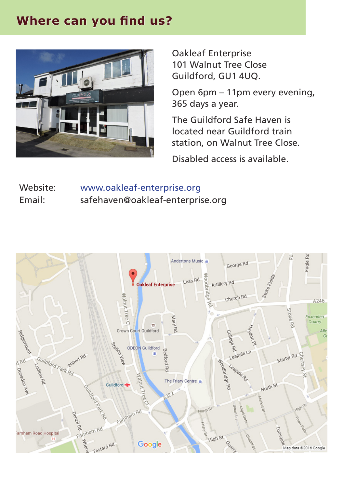### **Where can you find us?**



Oakleaf Enterprise 101 Walnut Tree Close Guildford, GU1 4UQ.

Open 6pm – 11pm every evening, 365 days a year.

The Guildford Safe Haven is located near Guildford train station, on Walnut Tree Close.

Disabled access is available.

Website: Email: www.oakleaf-enterprise.org safehaven@oakleaf-enterprise.org